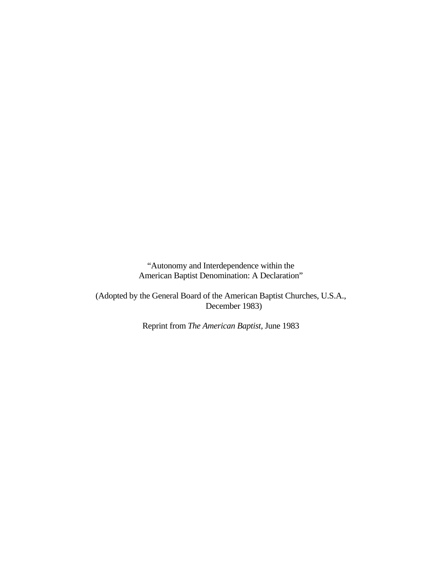"Autonomy and Interdependence within the American Baptist Denomination: A Declaration"

(Adopted by the General Board of the American Baptist Churches, U.S.A., December 1983)

Reprint from *The American Baptist,* June 1983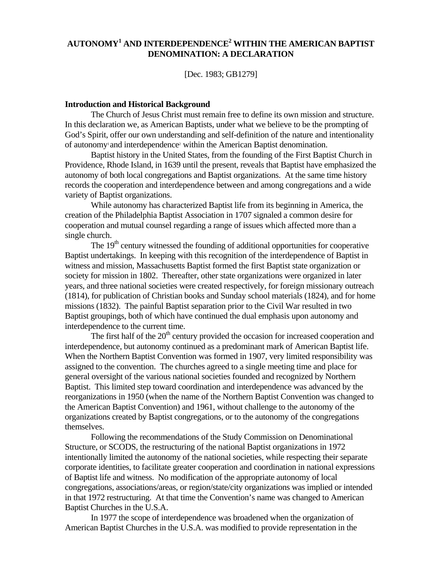# **AUTONOMY1 AND INTERDEPENDENCE2 WITHIN THE AMERICAN BAPTIST DENOMINATION: A DECLARATION**

[Dec. 1983; GB1279]

#### **Introduction and Historical Background**

The Church of Jesus Christ must remain free to define its own mission and structure. In this declaration we, as American Baptists, under what we believe to be the prompting of God's Spirit, offer our own understanding and self-definition of the nature and intentionality of autonomy<sup>1</sup> and interdependence<sup>2</sup> within the American Baptist denomination.

 Baptist history in the United States, from the founding of the First Baptist Church in Providence, Rhode Island, in 1639 until the present, reveals that Baptist have emphasized the autonomy of both local congregations and Baptist organizations. At the same time history records the cooperation and interdependence between and among congregations and a wide variety of Baptist organizations.

 While autonomy has characterized Baptist life from its beginning in America, the creation of the Philadelphia Baptist Association in 1707 signaled a common desire for cooperation and mutual counsel regarding a range of issues which affected more than a single church.

The 19<sup>th</sup> century witnessed the founding of additional opportunities for cooperative Baptist undertakings. In keeping with this recognition of the interdependence of Baptist in witness and mission, Massachusetts Baptist formed the first Baptist state organization or society for mission in 1802. Thereafter, other state organizations were organized in later years, and three national societies were created respectively, for foreign missionary outreach (1814), for publication of Christian books and Sunday school materials (1824), and for home missions (1832). The painful Baptist separation prior to the Civil War resulted in two Baptist groupings, both of which have continued the dual emphasis upon autonomy and interdependence to the current time.

The first half of the  $20<sup>th</sup>$  century provided the occasion for increased cooperation and interdependence, but autonomy continued as a predominant mark of American Baptist life. When the Northern Baptist Convention was formed in 1907, very limited responsibility was assigned to the convention. The churches agreed to a single meeting time and place for general oversight of the various national societies founded and recognized by Northern Baptist. This limited step toward coordination and interdependence was advanced by the reorganizations in 1950 (when the name of the Northern Baptist Convention was changed to the American Baptist Convention) and 1961, without challenge to the autonomy of the organizations created by Baptist congregations, or to the autonomy of the congregations themselves.

 Following the recommendations of the Study Commission on Denominational Structure, or SCODS, the restructuring of the national Baptist organizations in 1972 intentionally limited the autonomy of the national societies, while respecting their separate corporate identities, to facilitate greater cooperation and coordination in national expressions of Baptist life and witness. No modification of the appropriate autonomy of local congregations, associations/areas, or region/state/city organizations was implied or intended in that 1972 restructuring. At that time the Convention's name was changed to American Baptist Churches in the U.S.A.

 In 1977 the scope of interdependence was broadened when the organization of American Baptist Churches in the U.S.A. was modified to provide representation in the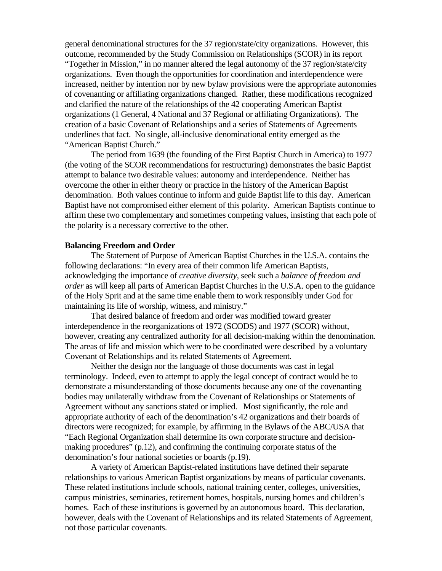general denominational structures for the 37 region/state/city organizations. However, this outcome, recommended by the Study Commission on Relationships (SCOR) in its report "Together in Mission," in no manner altered the legal autonomy of the 37 region/state/city organizations. Even though the opportunities for coordination and interdependence were increased, neither by intention nor by new bylaw provisions were the appropriate autonomies of covenanting or affiliating organizations changed. Rather, these modifications recognized and clarified the nature of the relationships of the 42 cooperating American Baptist organizations (1 General, 4 National and 37 Regional or affiliating Organizations). The creation of a basic Covenant of Relationships and a series of Statements of Agreements underlines that fact. No single, all-inclusive denominational entity emerged as the "American Baptist Church."

 The period from 1639 (the founding of the First Baptist Church in America) to 1977 (the voting of the SCOR recommendations for restructuring) demonstrates the basic Baptist attempt to balance two desirable values: autonomy and interdependence. Neither has overcome the other in either theory or practice in the history of the American Baptist denomination. Both values continue to inform and guide Baptist life to this day. American Baptist have not compromised either element of this polarity. American Baptists continue to affirm these two complementary and sometimes competing values, insisting that each pole of the polarity is a necessary corrective to the other.

#### **Balancing Freedom and Order**

 The Statement of Purpose of American Baptist Churches in the U.S.A. contains the following declarations: "In every area of their common life American Baptists, acknowledging the importance of *creative diversity*, seek such a *balance of freedom and order* as will keep all parts of American Baptist Churches in the U.S.A. open to the guidance of the Holy Sprit and at the same time enable them to work responsibly under God for maintaining its life of worship, witness, and ministry."

 That desired balance of freedom and order was modified toward greater interdependence in the reorganizations of 1972 (SCODS) and 1977 (SCOR) without, however, creating any centralized authority for all decision-making within the denomination. The areas of life and mission which were to be coordinated were described by a voluntary Covenant of Relationships and its related Statements of Agreement.

 Neither the design nor the language of those documents was cast in legal terminology. Indeed, even to attempt to apply the legal concept of contract would be to demonstrate a misunderstanding of those documents because any one of the covenanting bodies may unilaterally withdraw from the Covenant of Relationships or Statements of Agreement without any sanctions stated or implied. Most significantly, the role and appropriate authority of each of the denomination's 42 organizations and their boards of directors were recognized; for example, by affirming in the Bylaws of the ABC/USA that "Each Regional Organization shall determine its own corporate structure and decisionmaking procedures" (p.12), and confirming the continuing corporate status of the denomination's four national societies or boards (p.19).

 A variety of American Baptist-related institutions have defined their separate relationships to various American Baptist organizations by means of particular covenants. These related institutions include schools, national training center, colleges, universities, campus ministries, seminaries, retirement homes, hospitals, nursing homes and children's homes. Each of these institutions is governed by an autonomous board. This declaration, however, deals with the Covenant of Relationships and its related Statements of Agreement, not those particular covenants.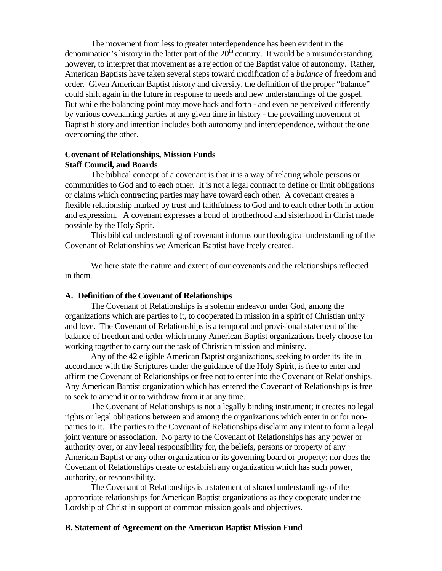The movement from less to greater interdependence has been evident in the denomination's history in the latter part of the  $20<sup>th</sup>$  century. It would be a misunderstanding, however, to interpret that movement as a rejection of the Baptist value of autonomy. Rather, American Baptists have taken several steps toward modification of a *balance* of freedom and order. Given American Baptist history and diversity, the definition of the proper "balance" could shift again in the future in response to needs and new understandings of the gospel. But while the balancing point may move back and forth - and even be perceived differently by various covenanting parties at any given time in history - the prevailing movement of Baptist history and intention includes both autonomy and interdependence, without the one overcoming the other.

## **Covenant of Relationships, Mission Funds Staff Council, and Boards**

The biblical concept of a covenant is that it is a way of relating whole persons or communities to God and to each other. It is not a legal contract to define or limit obligations or claims which contracting parties may have toward each other. A covenant creates a flexible relationship marked by trust and faithfulness to God and to each other both in action and expression. A covenant expresses a bond of brotherhood and sisterhood in Christ made possible by the Holy Sprit.

 This biblical understanding of covenant informs our theological understanding of the Covenant of Relationships we American Baptist have freely created.

 We here state the nature and extent of our covenants and the relationships reflected in them.

## **A. Definition of the Covenant of Relationships**

The Covenant of Relationships is a solemn endeavor under God, among the organizations which are parties to it, to cooperated in mission in a spirit of Christian unity and love. The Covenant of Relationships is a temporal and provisional statement of the balance of freedom and order which many American Baptist organizations freely choose for working together to carry out the task of Christian mission and ministry.

 Any of the 42 eligible American Baptist organizations, seeking to order its life in accordance with the Scriptures under the guidance of the Holy Spirit, is free to enter and affirm the Covenant of Relationships or free not to enter into the Covenant of Relationships. Any American Baptist organization which has entered the Covenant of Relationships is free to seek to amend it or to withdraw from it at any time.

 The Covenant of Relationships is not a legally binding instrument; it creates no legal rights or legal obligations between and among the organizations which enter in or for nonparties to it. The parties to the Covenant of Relationships disclaim any intent to form a legal joint venture or association. No party to the Covenant of Relationships has any power or authority over, or any legal responsibility for, the beliefs, persons or property of any American Baptist or any other organization or its governing board or property; nor does the Covenant of Relationships create or establish any organization which has such power, authority, or responsibility.

 The Covenant of Relationships is a statement of shared understandings of the appropriate relationships for American Baptist organizations as they cooperate under the Lordship of Christ in support of common mission goals and objectives.

#### **B. Statement of Agreement on the American Baptist Mission Fund**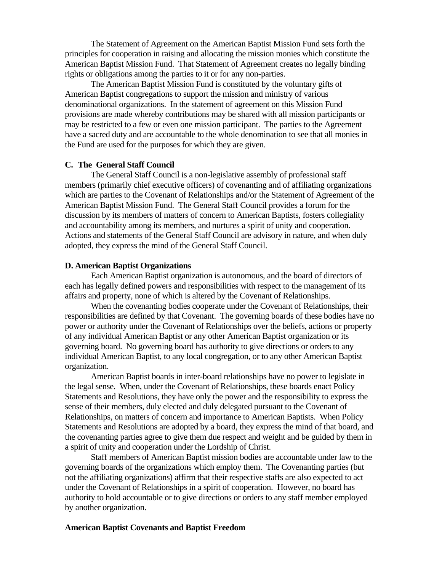The Statement of Agreement on the American Baptist Mission Fund sets forth the principles for cooperation in raising and allocating the mission monies which constitute the American Baptist Mission Fund. That Statement of Agreement creates no legally binding rights or obligations among the parties to it or for any non-parties.

 The American Baptist Mission Fund is constituted by the voluntary gifts of American Baptist congregations to support the mission and ministry of various denominational organizations. In the statement of agreement on this Mission Fund provisions are made whereby contributions may be shared with all mission participants or may be restricted to a few or even one mission participant. The parties to the Agreement have a sacred duty and are accountable to the whole denomination to see that all monies in the Fund are used for the purposes for which they are given.

## **C. The General Staff Council**

 The General Staff Council is a non-legislative assembly of professional staff members (primarily chief executive officers) of covenanting and of affiliating organizations which are parties to the Covenant of Relationships and/or the Statement of Agreement of the American Baptist Mission Fund. The General Staff Council provides a forum for the discussion by its members of matters of concern to American Baptists, fosters collegiality and accountability among its members, and nurtures a spirit of unity and cooperation. Actions and statements of the General Staff Council are advisory in nature, and when duly adopted, they express the mind of the General Staff Council.

#### **D. American Baptist Organizations**

 Each American Baptist organization is autonomous, and the board of directors of each has legally defined powers and responsibilities with respect to the management of its affairs and property, none of which is altered by the Covenant of Relationships.

 When the covenanting bodies cooperate under the Covenant of Relationships, their responsibilities are defined by that Covenant. The governing boards of these bodies have no power or authority under the Covenant of Relationships over the beliefs, actions or property of any individual American Baptist or any other American Baptist organization or its governing board. No governing board has authority to give directions or orders to any individual American Baptist, to any local congregation, or to any other American Baptist organization.

 American Baptist boards in inter-board relationships have no power to legislate in the legal sense. When, under the Covenant of Relationships, these boards enact Policy Statements and Resolutions, they have only the power and the responsibility to express the sense of their members, duly elected and duly delegated pursuant to the Covenant of Relationships, on matters of concern and importance to American Baptists. When Policy Statements and Resolutions are adopted by a board, they express the mind of that board, and the covenanting parties agree to give them due respect and weight and be guided by them in a spirit of unity and cooperation under the Lordship of Christ.

 Staff members of American Baptist mission bodies are accountable under law to the governing boards of the organizations which employ them. The Covenanting parties (but not the affiliating organizations) affirm that their respective staffs are also expected to act under the Covenant of Relationships in a spirit of cooperation. However, no board has authority to hold accountable or to give directions or orders to any staff member employed by another organization.

### **American Baptist Covenants and Baptist Freedom**